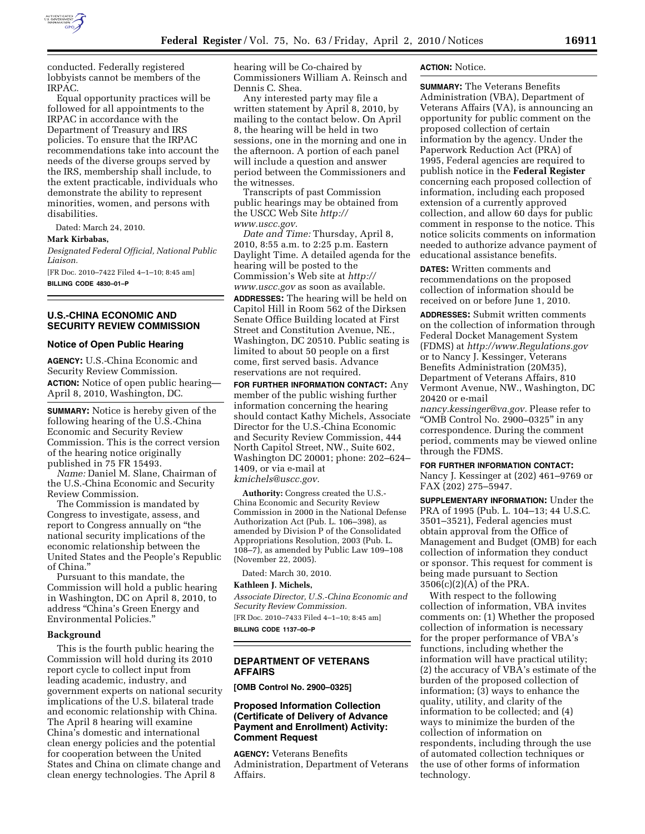

conducted. Federally registered lobbyists cannot be members of the IRPAC.

Equal opportunity practices will be followed for all appointments to the IRPAC in accordance with the Department of Treasury and IRS policies. To ensure that the IRPAC recommendations take into account the needs of the diverse groups served by the IRS, membership shall include, to the extent practicable, individuals who demonstrate the ability to represent minorities, women, and persons with disabilities.

Dated: March 24, 2010.

**Mark Kirbabas,** 

*Designated Federal Official, National Public Liaison.* 

[FR Doc. 2010–7422 Filed 4–1–10; 8:45 am] **BILLING CODE 4830–01–P** 

### **U.S.-CHINA ECONOMIC AND SECURITY REVIEW COMMISSION**

#### **Notice of Open Public Hearing**

**AGENCY:** U.S.-China Economic and Security Review Commission. **ACTION:** Notice of open public hearing— April 8, 2010, Washington, DC.

**SUMMARY:** Notice is hereby given of the following hearing of the U.S.-China Economic and Security Review Commission. This is the correct version of the hearing notice originally published in 75 FR 15493.

*Name:* Daniel M. Slane, Chairman of the U.S.-China Economic and Security Review Commission.

The Commission is mandated by Congress to investigate, assess, and report to Congress annually on ''the national security implications of the economic relationship between the United States and the People's Republic of China.''

Pursuant to this mandate, the Commission will hold a public hearing in Washington, DC on April 8, 2010, to address ''China's Green Energy and Environmental Policies.''

#### **Background**

This is the fourth public hearing the Commission will hold during its 2010 report cycle to collect input from leading academic, industry, and government experts on national security implications of the U.S. bilateral trade and economic relationship with China. The April 8 hearing will examine China's domestic and international clean energy policies and the potential for cooperation between the United States and China on climate change and clean energy technologies. The April 8

hearing will be Co-chaired by Commissioners William A. Reinsch and Dennis C. Shea.

Any interested party may file a written statement by April 8, 2010, by mailing to the contact below. On April 8, the hearing will be held in two sessions, one in the morning and one in the afternoon. A portion of each panel will include a question and answer period between the Commissioners and the witnesses.

Transcripts of past Commission public hearings may be obtained from the USCC Web Site *http:// www.uscc.gov.* 

*Date and Time:* Thursday, April 8, 2010, 8:55 a.m. to 2:25 p.m. Eastern Daylight Time. A detailed agenda for the hearing will be posted to the Commission's Web site at *http:// www.uscc.gov* as soon as available.

**ADDRESSES:** The hearing will be held on Capitol Hill in Room 562 of the Dirksen Senate Office Building located at First Street and Constitution Avenue, NE., Washington, DC 20510. Public seating is limited to about 50 people on a first come, first served basis. Advance reservations are not required.

**FOR FURTHER INFORMATION CONTACT:** Any member of the public wishing further information concerning the hearing should contact Kathy Michels, Associate Director for the U.S.-China Economic and Security Review Commission, 444 North Capitol Street, NW., Suite 602, Washington DC 20001; phone: 202–624– 1409, or via e-mail at *kmichels@uscc.gov.* 

**Authority:** Congress created the U.S.- China Economic and Security Review Commission in 2000 in the National Defense Authorization Act (Pub. L. 106–398), as amended by Division P of the Consolidated Appropriations Resolution, 2003 (Pub. L.  $108-7$ , as amended by Public Law 109-108 (November 22, 2005).

Dated: March 30, 2010.

**Kathleen J. Michels,** 

*Associate Director, U.S.-China Economic and Security Review Commission.*  [FR Doc. 2010–7433 Filed 4–1–10; 8:45 am] **BILLING CODE 1137–00–P** 

#### **DEPARTMENT OF VETERANS AFFAIRS**

## **[OMB Control No. 2900–0325]**

### **Proposed Information Collection (Certificate of Delivery of Advance Payment and Enrollment) Activity: Comment Request**

**AGENCY:** Veterans Benefits Administration, Department of Veterans Affairs.

#### **ACTION:** Notice.

**SUMMARY:** The Veterans Benefits Administration (VBA), Department of Veterans Affairs (VA), is announcing an opportunity for public comment on the proposed collection of certain information by the agency. Under the Paperwork Reduction Act (PRA) of 1995, Federal agencies are required to publish notice in the **Federal Register**  concerning each proposed collection of information, including each proposed extension of a currently approved collection, and allow 60 days for public comment in response to the notice. This notice solicits comments on information needed to authorize advance payment of educational assistance benefits.

**DATES:** Written comments and recommendations on the proposed collection of information should be received on or before June 1, 2010.

**ADDRESSES:** Submit written comments on the collection of information through Federal Docket Management System (FDMS) at *http://www.Regulations.gov*  or to Nancy J. Kessinger, Veterans Benefits Administration (20M35), Department of Veterans Affairs, 810 Vermont Avenue, NW., Washington, DC 20420 or e-mail

*nancy.kessinger@va.gov.* Please refer to ''OMB Control No. 2900–0325'' in any correspondence. During the comment period, comments may be viewed online through the FDMS.

#### **FOR FURTHER INFORMATION CONTACT:**

Nancy J. Kessinger at (202) 461–9769 or FAX (202) 275–5947.

**SUPPLEMENTARY INFORMATION:** Under the PRA of 1995 (Pub. L. 104–13; 44 U.S.C. 3501–3521), Federal agencies must obtain approval from the Office of Management and Budget (OMB) for each collection of information they conduct or sponsor. This request for comment is being made pursuant to Section 3506(c)(2)(A) of the PRA.

With respect to the following collection of information, VBA invites comments on: (1) Whether the proposed collection of information is necessary for the proper performance of VBA's functions, including whether the information will have practical utility; (2) the accuracy of VBA's estimate of the burden of the proposed collection of information; (3) ways to enhance the quality, utility, and clarity of the information to be collected; and (4) ways to minimize the burden of the collection of information on respondents, including through the use of automated collection techniques or the use of other forms of information technology.